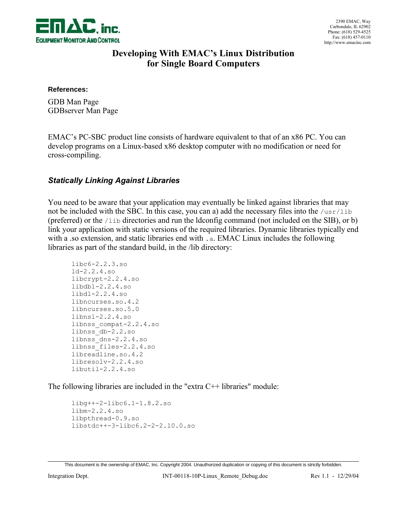

### **Developing With EMAC's Linux Distribution for Single Board Computers**

#### **References:**

GDB Man Page GDBserver Man Page

EMAC's PC-SBC product line consists of hardware equivalent to that of an x86 PC. You can develop programs on a Linux-based x86 desktop computer with no modification or need for cross-compiling.

#### *Statically Linking Against Libraries*

You need to be aware that your application may eventually be linked against libraries that may not be included with the SBC. In this case, you can a) add the necessary files into the  $/usr/lib$ (preferred) or the /lib directories and run the ldconfig command (not included on the SIB), or b) link your application with static versions of the required libraries. Dynamic libraries typically end with a .so extension, and static libraries end with .a. EMAC Linux includes the following libraries as part of the standard build, in the /lib directory:

```
libc6-2.2.3.so
ld-2.2.4.so
libcrypt-2.2.4.so
libdb1-2.2.4.so
libdl-2.2.4.so
libncurses.so.4.2
libncurses.so.5.0
libnsl-2.2.4.so
libnss_compat-2.2.4.so
libnss_db-2.2.so
libnss_dns-2.2.4.so
libnss_files-2.2.4.so
libreadline.so.4.2
libresolv-2.2.4.so
libutil-2.2.4.so
```
The following libraries are included in the "extra C++ libraries" module:

```
libg++-2-libc6.1-1.8.2.so
libm-2.2.4.so
libpthread-0.9.so
libstdc++-3-libc6.2-2-2.10.0.so
```
This document is the ownership of EMAC, Inc. Copyright 2004. Unauthorized duplication or copying of this document is strictly forbidden.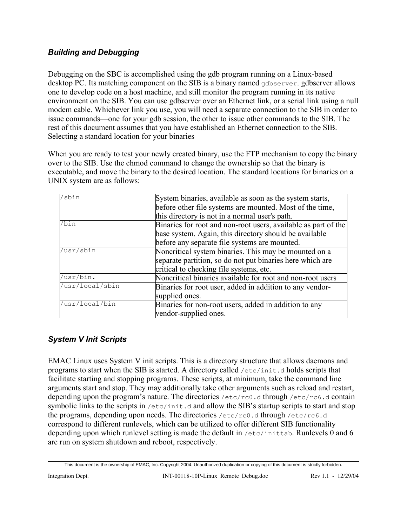### *Building and Debugging*

Debugging on the SBC is accomplished using the gdb program running on a Linux-based desktop PC. Its matching component on the SIB is a binary named gdbserver, gdbserver allows one to develop code on a host machine, and still monitor the program running in its native environment on the SIB. You can use gdbserver over an Ethernet link, or a serial link using a null modem cable. Whichever link you use, you will need a separate connection to the SIB in order to issue commands—one for your gdb session, the other to issue other commands to the SIB. The rest of this document assumes that you have established an Ethernet connection to the SIB. Selecting a standard location for your binaries

When you are ready to test your newly created binary, use the FTP mechanism to copy the binary over to the SIB. Use the chmod command to change the ownership so that the binary is executable, and move the binary to the desired location. The standard locations for binaries on a UNIX system are as follows:

| /sbin           | System binaries, available as soon as the system starts,       |
|-----------------|----------------------------------------------------------------|
|                 | before other file systems are mounted. Most of the time,       |
|                 | this directory is not in a normal user's path.                 |
| /bin            | Binaries for root and non-root users, available as part of the |
|                 | base system. Again, this directory should be available         |
|                 | before any separate file systems are mounted.                  |
| /usr/sbin       | Noncritical system binaries. This may be mounted on a          |
|                 | separate partition, so do not put binaries here which are      |
|                 | critical to checking file systems, etc.                        |
| /usr/bin.       | Noncritical binaries available for root and non-root users     |
| /usr/local/sbin | Binaries for root user, added in addition to any vendor-       |
|                 | supplied ones.                                                 |
| /usr/local/bin  | Binaries for non-root users, added in addition to any          |
|                 | vendor-supplied ones.                                          |

## *System V Init Scripts*

EMAC Linux uses System V init scripts. This is a directory structure that allows daemons and programs to start when the SIB is started. A directory called /etc/init.d holds scripts that facilitate starting and stopping programs. These scripts, at minimum, take the command line arguments start and stop. They may additionally take other arguments such as reload and restart, depending upon the program's nature. The directories /etc/rc0.d through /etc/rc6.d contain symbolic links to the scripts in  $/etc/init.d$  and allow the SIB's startup scripts to start and stop the programs, depending upon needs. The directories /etc/rc0.d through /etc/rc6.d correspond to different runlevels, which can be utilized to offer different SIB functionality depending upon which runlevel setting is made the default in /etc/inittab. Runlevels 0 and 6 are run on system shutdown and reboot, respectively.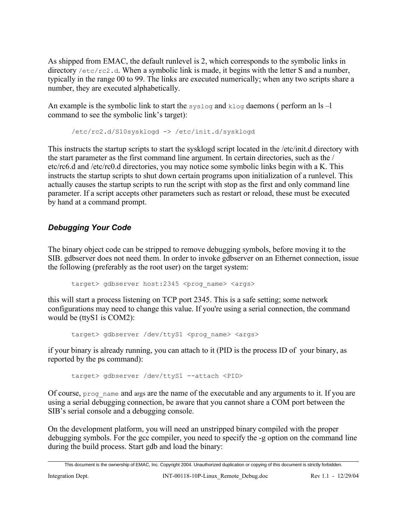As shipped from EMAC, the default runlevel is 2, which corresponds to the symbolic links in directory /etc/rc2.d. When a symbolic link is made, it begins with the letter S and a number, typically in the range 00 to 99. The links are executed numerically; when any two scripts share a number, they are executed alphabetically.

An example is the symbolic link to start the syslog and  $k \log$  daemons ( perform an  $ls -l$ command to see the symbolic link's target):

```
/etc/rc2.d/S10sysklogd -> /etc/init.d/sysklogd
```
This instructs the startup scripts to start the sysklogd script located in the /etc/init.d directory with the start parameter as the first command line argument. In certain directories, such as the / etc/rc6.d and /etc/rc0.d directories, you may notice some symbolic links begin with a K. This instructs the startup scripts to shut down certain programs upon initialization of a runlevel. This actually causes the startup scripts to run the script with stop as the first and only command line parameter. If a script accepts other parameters such as restart or reload, these must be executed by hand at a command prompt.

# *Debugging Your Code*

The binary object code can be stripped to remove debugging symbols, before moving it to the SIB. gdbserver does not need them. In order to invoke gdbserver on an Ethernet connection, issue the following (preferably as the root user) on the target system:

target> gdbserver host:2345 <prog\_name> <args>

this will start a process listening on TCP port 2345. This is a safe setting; some network configurations may need to change this value. If you're using a serial connection, the command would be (ttyS1 is COM2):

target> gdbserver /dev/ttyS1 <prog\_name> <args>

if your binary is already running, you can attach to it (PID is the process ID of your binary, as reported by the ps command):

target> gdbserver /dev/ttyS1 --attach <PID>

Of course,  $p_{\text{req}}$  name and args are the name of the executable and any arguments to it. If you are using a serial debugging connection, be aware that you cannot share a COM port between the SIB's serial console and a debugging console.

On the development platform, you will need an unstripped binary compiled with the proper debugging symbols. For the gcc compiler, you need to specify the -g option on the command line during the build process. Start gdb and load the binary:

This document is the ownership of EMAC, Inc. Copyright 2004. Unauthorized duplication or copying of this document is strictly forbidden.